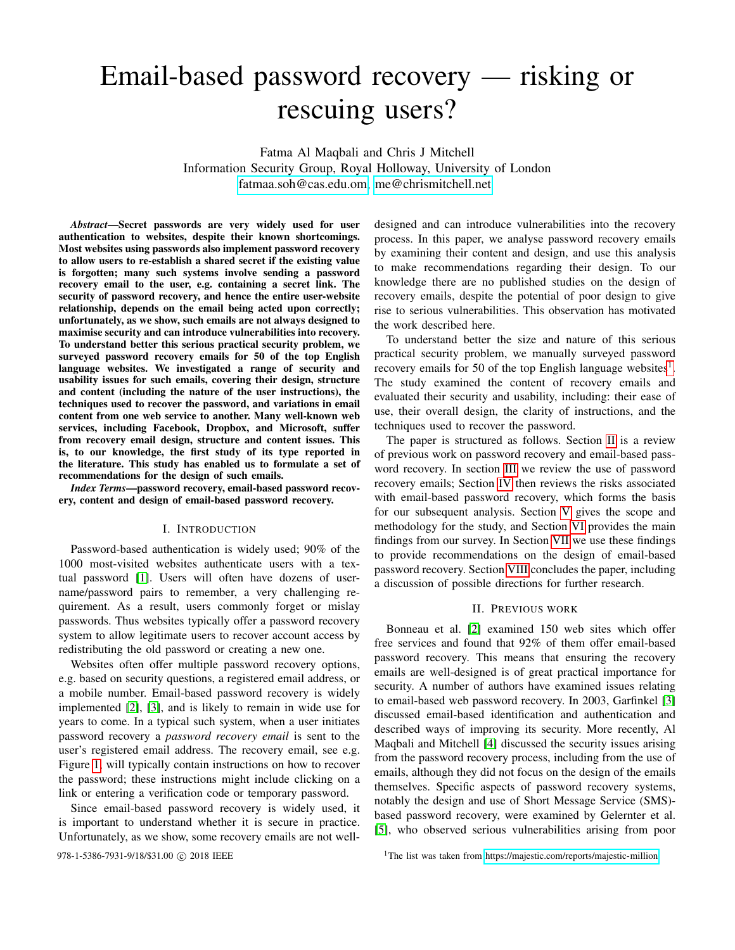# Email-based password recovery — risking or rescuing users?

Fatma Al Maqbali and Chris J Mitchell Information Security Group, Royal Holloway, University of London [fatmaa.soh@cas.edu.om,](mailto:fatmaa.soh@cas.edu.om) [me@chrismitchell.net](mailto:me@chrismitchell.net)

*Abstract*—Secret passwords are very widely used for user authentication to websites, despite their known shortcomings. Most websites using passwords also implement password recovery to allow users to re-establish a shared secret if the existing value is forgotten; many such systems involve sending a password recovery email to the user, e.g. containing a secret link. The security of password recovery, and hence the entire user-website relationship, depends on the email being acted upon correctly; unfortunately, as we show, such emails are not always designed to maximise security and can introduce vulnerabilities into recovery. To understand better this serious practical security problem, we surveyed password recovery emails for 50 of the top English language websites. We investigated a range of security and usability issues for such emails, covering their design, structure and content (including the nature of the user instructions), the techniques used to recover the password, and variations in email content from one web service to another. Many well-known web services, including Facebook, Dropbox, and Microsoft, suffer from recovery email design, structure and content issues. This is, to our knowledge, the first study of its type reported in the literature. This study has enabled us to formulate a set of recommendations for the design of such emails.

*Index Terms*—password recovery, email-based password recovery, content and design of email-based password recovery.

#### I. INTRODUCTION

Password-based authentication is widely used; 90% of the 1000 most-visited websites authenticate users with a textual password [\[1\]](#page-4-0). Users will often have dozens of username/password pairs to remember, a very challenging requirement. As a result, users commonly forget or mislay passwords. Thus websites typically offer a password recovery system to allow legitimate users to recover account access by redistributing the old password or creating a new one.

Websites often offer multiple password recovery options, e.g. based on security questions, a registered email address, or a mobile number. Email-based password recovery is widely implemented [\[2\]](#page-4-1), [\[3\]](#page-4-2), and is likely to remain in wide use for years to come. In a typical such system, when a user initiates password recovery a *password recovery email* is sent to the user's registered email address. The recovery email, see e.g. Figure [1,](#page-1-0) will typically contain instructions on how to recover the password; these instructions might include clicking on a link or entering a verification code or temporary password.

Since email-based password recovery is widely used, it is important to understand whether it is secure in practice. Unfortunately, as we show, some recovery emails are not well-

designed and can introduce vulnerabilities into the recovery process. In this paper, we analyse password recovery emails by examining their content and design, and use this analysis to make recommendations regarding their design. To our knowledge there are no published studies on the design of recovery emails, despite the potential of poor design to give rise to serious vulnerabilities. This observation has motivated the work described here.

To understand better the size and nature of this serious practical security problem, we manually surveyed password recovery emails for 50 of the top English language websites<sup>[1](#page-0-0)</sup>. The study examined the content of recovery emails and evaluated their security and usability, including: their ease of use, their overall design, the clarity of instructions, and the techniques used to recover the password.

The paper is structured as follows. Section [II](#page-0-1) is a review of previous work on password recovery and email-based password recovery. In section [III](#page-1-1) we review the use of password recovery emails; Section [IV](#page-2-0) then reviews the risks associated with email-based password recovery, which forms the basis for our subsequent analysis. Section [V](#page-2-1) gives the scope and methodology for the study, and Section [VI](#page-2-2) provides the main findings from our survey. In Section [VII](#page-4-3) we use these findings to provide recommendations on the design of email-based password recovery. Section [VIII](#page-4-4) concludes the paper, including a discussion of possible directions for further research.

### II. PREVIOUS WORK

<span id="page-0-1"></span><span id="page-0-0"></span>Bonneau et al. [\[2\]](#page-4-1) examined 150 web sites which offer free services and found that 92% of them offer email-based password recovery. This means that ensuring the recovery emails are well-designed is of great practical importance for security. A number of authors have examined issues relating to email-based web password recovery. In 2003, Garfinkel [\[3\]](#page-4-2) discussed email-based identification and authentication and described ways of improving its security. More recently, Al Maqbali and Mitchell [\[4\]](#page-4-5) discussed the security issues arising from the password recovery process, including from the use of emails, although they did not focus on the design of the emails themselves. Specific aspects of password recovery systems, notably the design and use of Short Message Service (SMS) based password recovery, were examined by Gelernter et al. [\[5\]](#page-4-6), who observed serious vulnerabilities arising from poor

<sup>978-1-5386-7931-9/18/\$31.00</sup> C 2018 IEEE <sup>1</sup>The list was taken from [https://majestic.com/reports/majestic-million.](https://majestic.com/reports/majestic-million)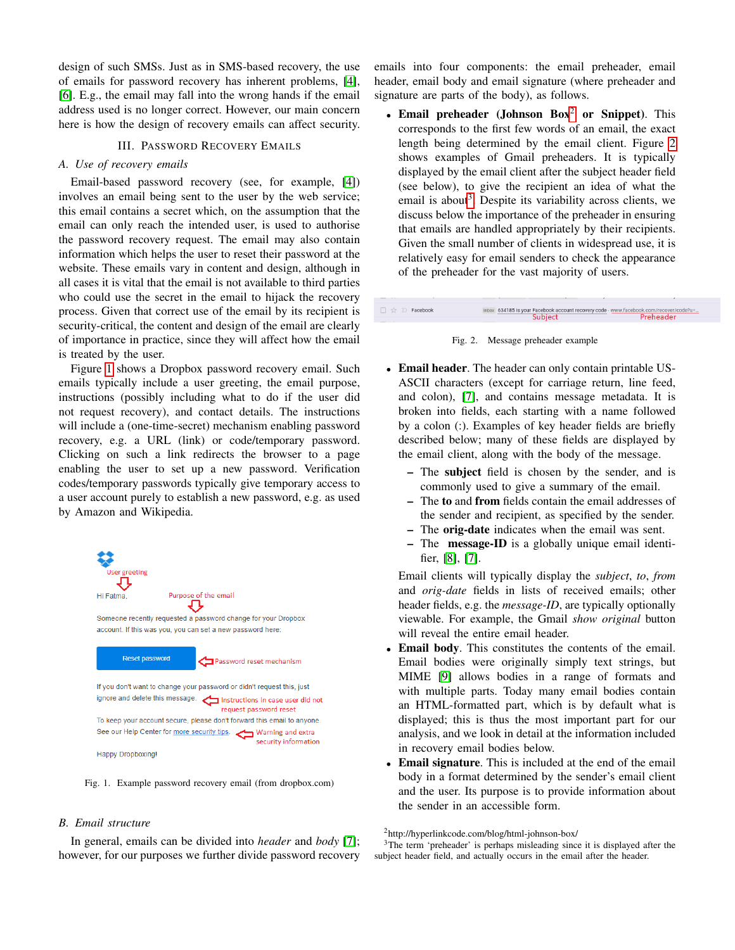design of such SMSs. Just as in SMS-based recovery, the use of emails for password recovery has inherent problems, [\[4\]](#page-4-5), [\[6\]](#page-4-7). E.g., the email may fall into the wrong hands if the email address used is no longer correct. However, our main concern here is how the design of recovery emails can affect security.

#### III. PASSWORD RECOVERY EMAILS

## <span id="page-1-1"></span>*A. Use of recovery emails*

Email-based password recovery (see, for example, [\[4\]](#page-4-5)) involves an email being sent to the user by the web service; this email contains a secret which, on the assumption that the email can only reach the intended user, is used to authorise the password recovery request. The email may also contain information which helps the user to reset their password at the website. These emails vary in content and design, although in all cases it is vital that the email is not available to third parties who could use the secret in the email to hijack the recovery process. Given that correct use of the email by its recipient is security-critical, the content and design of the email are clearly of importance in practice, since they will affect how the email is treated by the user.

Figure [1](#page-1-0) shows a Dropbox password recovery email. Such emails typically include a user greeting, the email purpose, instructions (possibly including what to do if the user did not request recovery), and contact details. The instructions will include a (one-time-secret) mechanism enabling password recovery, e.g. a URL (link) or code/temporary password. Clicking on such a link redirects the browser to a page enabling the user to set up a new password. Verification codes/temporary passwords typically give temporary access to a user account purely to establish a new password, e.g. as used by Amazon and Wikipedia.



<span id="page-1-0"></span>Fig. 1. Example password recovery email (from dropbox.com)

#### *B. Email structure*

In general, emails can be divided into *header* and *body* [\[7\]](#page-4-8); however, for our purposes we further divide password recovery emails into four components: the email preheader, email header, email body and email signature (where preheader and signature are parts of the body), as follows.

• Email preheader (Johnson Box<sup>[2](#page-1-2)</sup> or Snippet). This corresponds to the first few words of an email, the exact length being determined by the email client. Figure [2](#page-1-3) shows examples of Gmail preheaders. It is typically displayed by the email client after the subject header field (see below), to give the recipient an idea of what the email is about<sup>[3](#page-1-4)</sup>. Despite its variability across clients, we discuss below the importance of the preheader in ensuring that emails are handled appropriately by their recipients. Given the small number of clients in widespread use, it is relatively easy for email senders to check the appearance of the preheader for the vast majority of users.

 $\Box\ \ \textcolor{red}{\not\preceq\!\!\!\triangle} \ \ \textcolor{red}{\mathcal{D}} \ \ \textsf{Facebook}$ Inbox 634185 is your Facebook account recovery code - www.facebook.com/recover/code?u=

#### <span id="page-1-3"></span>Fig. 2. Message preheader example

- Email header. The header can only contain printable US-ASCII characters (except for carriage return, line feed, and colon), [\[7\]](#page-4-8), and contains message metadata. It is broken into fields, each starting with a name followed by a colon (:). Examples of key header fields are briefly described below; many of these fields are displayed by the email client, along with the body of the message.
	- The subject field is chosen by the sender, and is commonly used to give a summary of the email.
	- The to and from fields contain the email addresses of the sender and recipient, as specified by the sender.
	- The orig-date indicates when the email was sent.
	- The message-ID is a globally unique email identifier, [\[8\]](#page-4-9), [\[7\]](#page-4-8).

Email clients will typically display the *subject*, *to*, *from* and *orig-date* fields in lists of received emails; other header fields, e.g. the *message-ID*, are typically optionally viewable. For example, the Gmail *show original* button will reveal the entire email header.

- Email body. This constitutes the contents of the email. Email bodies were originally simply text strings, but MIME [\[9\]](#page-4-10) allows bodies in a range of formats and with multiple parts. Today many email bodies contain an HTML-formatted part, which is by default what is displayed; this is thus the most important part for our analysis, and we look in detail at the information included in recovery email bodies below.
- Email signature. This is included at the end of the email body in a format determined by the sender's email client and the user. Its purpose is to provide information about the sender in an accessible form.

<span id="page-1-4"></span><span id="page-1-2"></span><sup>2</sup>http://hyperlinkcode.com/blog/html-johnson-box/

<sup>3</sup>The term 'preheader' is perhaps misleading since it is displayed after the subject header field, and actually occurs in the email after the header.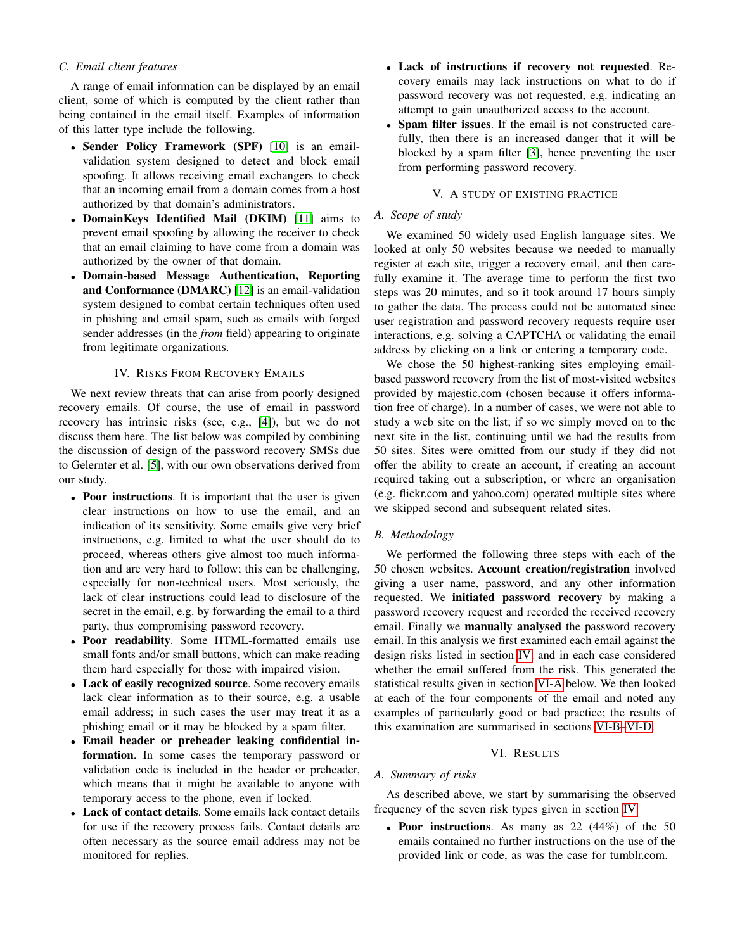## *C. Email client features*

A range of email information can be displayed by an email client, some of which is computed by the client rather than being contained in the email itself. Examples of information of this latter type include the following.

- Sender Policy Framework (SPF) [\[10\]](#page-4-11) is an emailvalidation system designed to detect and block email spoofing. It allows receiving email exchangers to check that an incoming email from a domain comes from a host authorized by that domain's administrators.
- DomainKeys Identified Mail (DKIM) [\[11\]](#page-4-12) aims to prevent email spoofing by allowing the receiver to check that an email claiming to have come from a domain was authorized by the owner of that domain.
- Domain-based Message Authentication, Reporting and Conformance (DMARC) [\[12\]](#page-4-13) is an email-validation system designed to combat certain techniques often used in phishing and email spam, such as emails with forged sender addresses (in the *from* field) appearing to originate from legitimate organizations.

## IV. RISKS FROM RECOVERY EMAILS

<span id="page-2-0"></span>We next review threats that can arise from poorly designed recovery emails. Of course, the use of email in password recovery has intrinsic risks (see, e.g., [\[4\]](#page-4-5)), but we do not discuss them here. The list below was compiled by combining the discussion of design of the password recovery SMSs due to Gelernter et al. [\[5\]](#page-4-6), with our own observations derived from our study.

- Poor instructions. It is important that the user is given clear instructions on how to use the email, and an indication of its sensitivity. Some emails give very brief instructions, e.g. limited to what the user should do to proceed, whereas others give almost too much information and are very hard to follow; this can be challenging, especially for non-technical users. Most seriously, the lack of clear instructions could lead to disclosure of the secret in the email, e.g. by forwarding the email to a third party, thus compromising password recovery.
- Poor readability. Some HTML-formatted emails use small fonts and/or small buttons, which can make reading them hard especially for those with impaired vision.
- Lack of easily recognized source. Some recovery emails lack clear information as to their source, e.g. a usable email address; in such cases the user may treat it as a phishing email or it may be blocked by a spam filter.
- Email header or preheader leaking confidential information. In some cases the temporary password or validation code is included in the header or preheader, which means that it might be available to anyone with temporary access to the phone, even if locked.
- Lack of contact details. Some emails lack contact details for use if the recovery process fails. Contact details are often necessary as the source email address may not be monitored for replies.
- Lack of instructions if recovery not requested. Recovery emails may lack instructions on what to do if password recovery was not requested, e.g. indicating an attempt to gain unauthorized access to the account.
- Spam filter issues. If the email is not constructed carefully, then there is an increased danger that it will be blocked by a spam filter [\[3\]](#page-4-2), hence preventing the user from performing password recovery.

## V. A STUDY OF EXISTING PRACTICE

## <span id="page-2-1"></span>*A. Scope of study*

We examined 50 widely used English language sites. We looked at only 50 websites because we needed to manually register at each site, trigger a recovery email, and then carefully examine it. The average time to perform the first two steps was 20 minutes, and so it took around 17 hours simply to gather the data. The process could not be automated since user registration and password recovery requests require user interactions, e.g. solving a CAPTCHA or validating the email address by clicking on a link or entering a temporary code.

We chose the 50 highest-ranking sites employing emailbased password recovery from the list of most-visited websites provided by majestic.com (chosen because it offers information free of charge). In a number of cases, we were not able to study a web site on the list; if so we simply moved on to the next site in the list, continuing until we had the results from 50 sites. Sites were omitted from our study if they did not offer the ability to create an account, if creating an account required taking out a subscription, or where an organisation (e.g. flickr.com and yahoo.com) operated multiple sites where we skipped second and subsequent related sites.

## *B. Methodology*

We performed the following three steps with each of the 50 chosen websites. Account creation/registration involved giving a user name, password, and any other information requested. We initiated password recovery by making a password recovery request and recorded the received recovery email. Finally we manually analysed the password recovery email. In this analysis we first examined each email against the design risks listed in section [IV,](#page-2-0) and in each case considered whether the email suffered from the risk. This generated the statistical results given in section [VI-A](#page-2-3) below. We then looked at each of the four components of the email and noted any examples of particularly good or bad practice; the results of this examination are summarised in sections [VI-B](#page-3-0)[–VI-D.](#page-4-14)

## VI. RESULTS

#### <span id="page-2-3"></span><span id="page-2-2"></span>*A. Summary of risks*

As described above, we start by summarising the observed frequency of the seven risk types given in section [IV.](#page-2-0)

• Poor instructions. As many as  $22(44%)$  of the 50 emails contained no further instructions on the use of the provided link or code, as was the case for tumblr.com.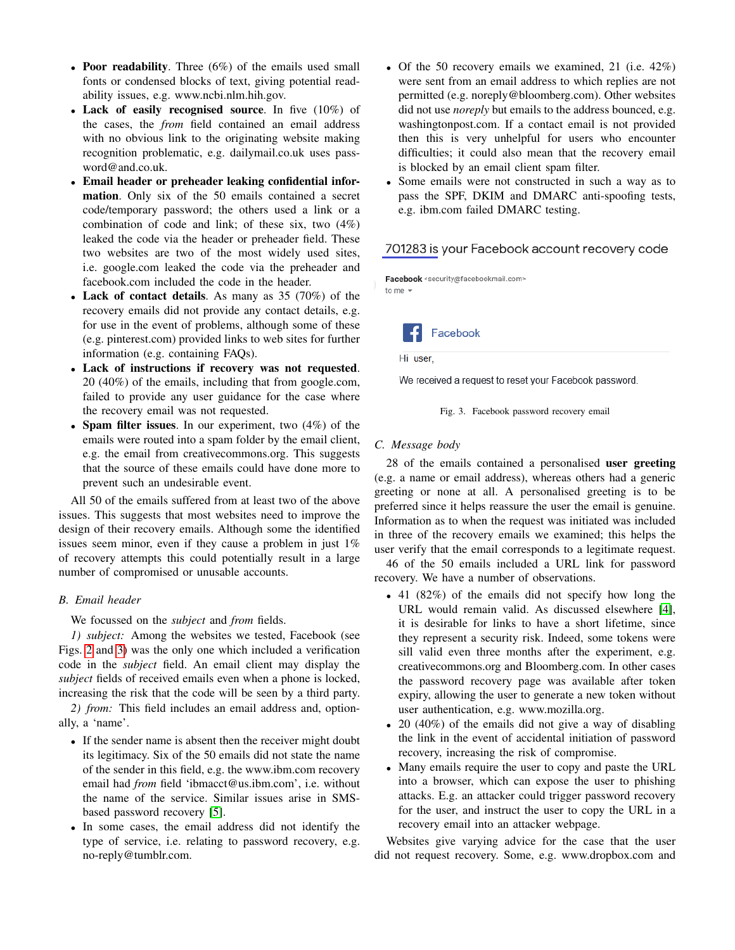- Poor readability. Three  $(6%)$  of the emails used small fonts or condensed blocks of text, giving potential readability issues, e.g. www.ncbi.nlm.hih.gov.
- Lack of easily recognised source. In five (10%) of the cases, the *from* field contained an email address with no obvious link to the originating website making recognition problematic, e.g. dailymail.co.uk uses password@and.co.uk.
- Email header or preheader leaking confidential information. Only six of the 50 emails contained a secret code/temporary password; the others used a link or a combination of code and link; of these six, two (4%) leaked the code via the header or preheader field. These two websites are two of the most widely used sites, i.e. google.com leaked the code via the preheader and facebook.com included the code in the header.
- Lack of contact details. As many as 35 (70%) of the recovery emails did not provide any contact details, e.g. for use in the event of problems, although some of these (e.g. pinterest.com) provided links to web sites for further information (e.g. containing FAQs).
- Lack of instructions if recovery was not requested. 20 (40%) of the emails, including that from google.com, failed to provide any user guidance for the case where the recovery email was not requested.
- Spam filter issues. In our experiment, two (4%) of the emails were routed into a spam folder by the email client, e.g. the email from creativecommons.org. This suggests that the source of these emails could have done more to prevent such an undesirable event.

All 50 of the emails suffered from at least two of the above issues. This suggests that most websites need to improve the design of their recovery emails. Although some the identified issues seem minor, even if they cause a problem in just 1% of recovery attempts this could potentially result in a large number of compromised or unusable accounts.

## <span id="page-3-0"></span>*B. Email header*

We focussed on the *subject* and *from* fields.

*1) subject:* Among the websites we tested, Facebook (see Figs. [2](#page-1-3) and [3\)](#page-3-1) was the only one which included a verification code in the *subject* field. An email client may display the *subject* fields of received emails even when a phone is locked, increasing the risk that the code will be seen by a third party.

*2) from:* This field includes an email address and, optionally, a 'name'.

- If the sender name is absent then the receiver might doubt its legitimacy. Six of the 50 emails did not state the name of the sender in this field, e.g. the www.ibm.com recovery email had *from* field 'ibmacct@us.ibm.com', i.e. without the name of the service. Similar issues arise in SMSbased password recovery [\[5\]](#page-4-6).
- In some cases, the email address did not identify the type of service, i.e. relating to password recovery, e.g. no-reply@tumblr.com.
- Of the 50 recovery emails we examined, 21 (i.e. 42%) were sent from an email address to which replies are not permitted (e.g. noreply@bloomberg.com). Other websites did not use *noreply* but emails to the address bounced, e.g. washingtonpost.com. If a contact email is not provided then this is very unhelpful for users who encounter difficulties; it could also mean that the recovery email is blocked by an email client spam filter.
- Some emails were not constructed in such a way as to pass the SPF, DKIM and DMARC anti-spoofing tests, e.g. ibm.com failed DMARC testing.

# 701283 is your Facebook account recovery code

Facebook <security@facebookmail.com> to me »

Facebook

Hi user

We received a request to reset your Facebook password.

<span id="page-3-1"></span>

## *C. Message body*

28 of the emails contained a personalised user greeting (e.g. a name or email address), whereas others had a generic greeting or none at all. A personalised greeting is to be preferred since it helps reassure the user the email is genuine. Information as to when the request was initiated was included in three of the recovery emails we examined; this helps the user verify that the email corresponds to a legitimate request.

46 of the 50 emails included a URL link for password recovery. We have a number of observations.

- 41 (82%) of the emails did not specify how long the URL would remain valid. As discussed elsewhere [\[4\]](#page-4-5), it is desirable for links to have a short lifetime, since they represent a security risk. Indeed, some tokens were sill valid even three months after the experiment, e.g. creativecommons.org and Bloomberg.com. In other cases the password recovery page was available after token expiry, allowing the user to generate a new token without user authentication, e.g. www.mozilla.org.
- $20$  (40%) of the emails did not give a way of disabling the link in the event of accidental initiation of password recovery, increasing the risk of compromise.
- Many emails require the user to copy and paste the URL into a browser, which can expose the user to phishing attacks. E.g. an attacker could trigger password recovery for the user, and instruct the user to copy the URL in a recovery email into an attacker webpage.

Websites give varying advice for the case that the user did not request recovery. Some, e.g. www.dropbox.com and